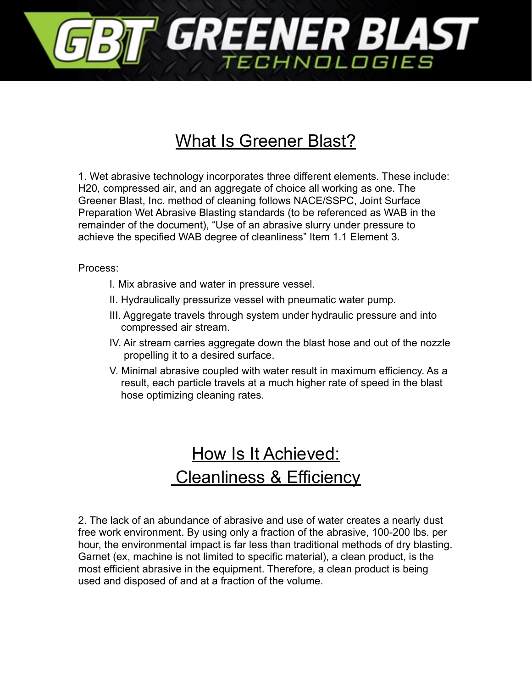

## What Is Greener Blast?

1. Wet abrasive technology incorporates three different elements. These include: H20, compressed air, and an aggregate of choice all working as one. The Greener Blast, Inc. method of cleaning follows NACE/SSPC, Joint Surface Preparation Wet Abrasive Blasting standards (to be referenced as WAB in the remainder of the document), "Use of an abrasive slurry under pressure to achieve the specified WAB degree of cleanliness" Item 1.1 Element 3.

Process:

- I. Mix abrasive and water in pressure vessel.
- II. Hydraulically pressurize vessel with pneumatic water pump.
- III. Aggregate travels through system under hydraulic pressure and into compressed air stream.
- IV. Air stream carries aggregate down the blast hose and out of the nozzle propelling it to a desired surface.
- V. Minimal abrasive coupled with water result in maximum efficiency. As a result, each particle travels at a much higher rate of speed in the blast hose optimizing cleaning rates.

## How Is It Achieved: Cleanliness & Efficiency

2. The lack of an abundance of abrasive and use of water creates a nearly dust free work environment. By using only a fraction of the abrasive, 100-200 lbs. per hour, the environmental impact is far less than traditional methods of dry blasting. Garnet (ex, machine is not limited to specific material), a clean product, is the most efficient abrasive in the equipment. Therefore, a clean product is being used and disposed of and at a fraction of the volume.